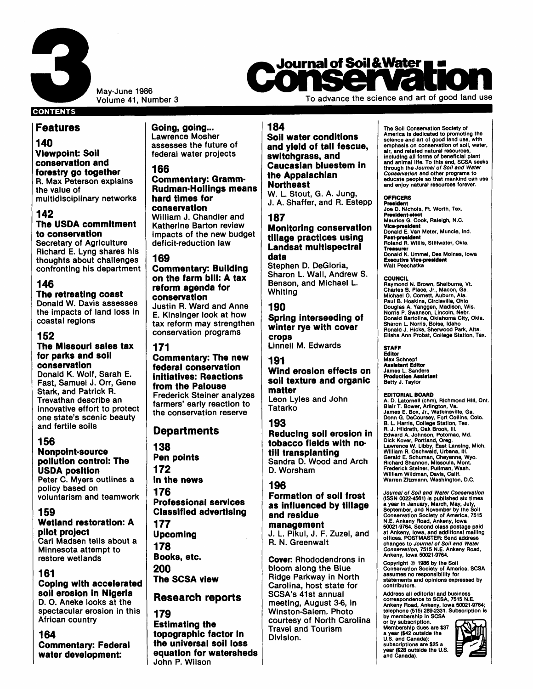

May-June 1986<br>Volume 41, Number 3

# **Journal of Soil & Water**

To advance the science and art of good land use

# **CONTENTS**

# **reat ures**

**I40 rliewpoint: Soil :onsewation and lorestry go together 3.** Max Peterson explains he value of nultidisciplinary networks

**142** 

# **The USDA commitment to conservation**

Secretary of Agriculture Richard E. Lyng shares his :houghts about challenges confronting his department

# **146**

**The retreating coast**  Donald W. Davis assesses the impacts of land loss in coastal regions

# **152**

#### **The Missouri sales tax for parks and soil conse rvat ion**

Donald K. Wolf, Sarah E. Fast, Samuel J. Orr, Gene Stark, and Patrick R. Trevathan describe an innovative effort to protect one state's scenic beauty and fertile soils

# **156**

**N onpoint=source pollution control: The USDA position**  Peter C. Myers outlines a policy based on voluntarism and teamwork

# **1 59**

**Wetland restoration: A pilot project**  Carl Madsen tells about a

Minnesota attempt to restore wetlands

# **161**

**Coping with accelerated soil erosion in Nigeria D. 0.** Aneke looks at the spectacular erosion in this African country

# **164**

**Commentary: Federal water development:** 

**Going, going...**<br>Lawrence Mosher assesses the future of federal water projects

# **166**

### **Commentary: Gramm-Rudman-Hollings means hard times for conservation**

William J. Chandler and Katherine Barton review impacts of the new budget deficit-reduction law

# **169**

#### **Commentary: Building on the farm bill: A tax reform agenda for conservation**

Justin **R.** Ward and Anne E. Kinsinger look at how tax reform may strengthen conservation programs

#### **171**

**Commentary: The new federal conservation initiatives: Reactions from the Palouse**  Frederick Steiner analyzes farmers' early reaction to the conservation reserve

# **Departments**

**138 Pen points 172 In the news 176 Professional services Classified advertising 177 Upcoming 178 Books, etc. 200 The SCSA view** 

# **Research reports**

# **179 Estimating the topographic factor in**

**the universal soil loss equation for watersheds**  John P. Wilson

# **184**

#### **Soil water conditions and yield of tall fescue, switchgrass, and Caucasian bluestem in the Appalachian Northeast**  W. **L.** Stout, G. A. Jung,

J. A. Shaffer, and R. Estepp

# **187**

#### **Monitoring conservation tillage practices using**  Landsat multispectral **data**

Stephen D. DeGloria, Sharon L. Wall, Andrew S. Benson, and Michael L. Whiting

### **190**

**Spring interseeding of winter rye with cover crops**  Linnell M. Edwards

#### **191 Wind erosion effects on soil texture and organic matter**

Leon Lyles and John **Tatarko** 

# **193**

**Reducing soil erosion in tobacco fields with notill transplanting**  Sandra D. Wood and Arch D. Worsham

# **196**

#### **Formation of soil frost as influenced by tillage and residue management**  J. L. Pikul, J. F. Zuzel, and

R. N. Greenwalt

Cover: Rhododendrons in bloom along the Blue Ridge Parkway in North Carolina, host state for SCSA's 41st annual meeting, August **3-6,** in Winston-Salem. Photo courtesy of North Carolina Travel and Tourism Division.

The Soll Conservation Society of America is dedicated to promoting the science and art of good land use, with emphasis on conservation of soil, Water, air, and related natural resources,<br>including all forms of beneficial plant<br>and animal life. To this end, SCSA seeks<br>through the *Journal of Soli and Water*<br>*Conservation* and other programs to<br>educate people so that manki

#### **OFFICERS**

**Pnsidont**  Joe **D.** Nichols, Ft. Worth, Tex. **President-elect** Maurice G. Cook, Raleigh, N.C.<br>**Vice-president**<br>Donald E. Van Meter, Muncle, Ind. **Past-president** Roland R. Wlllls, Stillwater, Okla. **Tnasunr**  Donald K. Ummel, Des Moines, Iowa<br>**Executive Vice-president** Walt Peechatka

#### **COUNCIL**

Raymond N. Brown, Shelburne, Vt. Charles 8. Place, Jr., Macon, Ga. Michael 0. Cornett, Auburn, Ala. Paul B. Hoskins, Clrclevllle, Ohio Douglas A. Yanggen, Madison, Wis. Norris P. Swanson, Lincoln, Nebr. Donald Bartollna, Oklahoma City, Okla. Sharon L. Norrls, Boise, Idaho Ronald J. Hicks, Sherwood Park, Alta. Ellsha Ann Probst, College Station, Tex.

#### **!STAFF**

**Editor**  Max Schnepf **Assistant Editor**  James L. Sanders **Productlon Assistant**  Betty J. Taylor

EDITORIAL BOARD<br>A. D. Latornell (chm), Richmond Hill, Ont.<br>Blair T. Bower, Arlington, Va.<br>James E. Box, Jr., Watkinsville, Ga.<br>Donn G. DeCoursey, Fort Collins, Colo.<br>B. L. Hidreth, Oak Brook, III.<br>B. L. Hidreth, Oak Brook, Dick Kover, Portland, Oreg,<br>Lawrence W. Libby, East Lansing, Mich.<br>William R. Oschwald, Urbana, Ill.<br>Gerald E. Schuman, Cheyenne, Wyo.<br>Richard Shannon, Missoula, Mont.<br>Frederick Steiner, Pullman, Wash.<br>Warren Zitzmann, Was

*Journal of Soil and Water Conservation*  (ISSN **0022-4581) Is** published six times a year in January, March, May, July, September, and November by the **Soll**  Conservation Society of America, 7515<br>N.E. Ankeny Road, Ankeny, Iowa<br>50021-9764. Second class postage paid<br>at Ankeny, Iowa, and additional mailing<br>offices. POSTMASTER: Send address changes to *Journal* of *Soll and Weter Conservation,* **7515** N.E. Ankeny Road, Ankeny, Iowa **50021-9764.** 

Copyright *0* **1986** by the Soll Conservation Society of America. SCSA assumes no responslblllty for statements and opinions expressed by contributors.

Address all editorial and business correspondence to SCSA, **7515 N.E.**  Ankeny Road, Ankeny, Iowa 50021-9764;<br>telephone (515) 289-2331. Subscription Is<br>by membership In SCSA<br>or by subscription.

Membership dues are **\$37** a year **(\$42** outside the **U.S.** and Canada); subscriptions are **\$25** a year **(\$28** outside the U.S. and Canada).

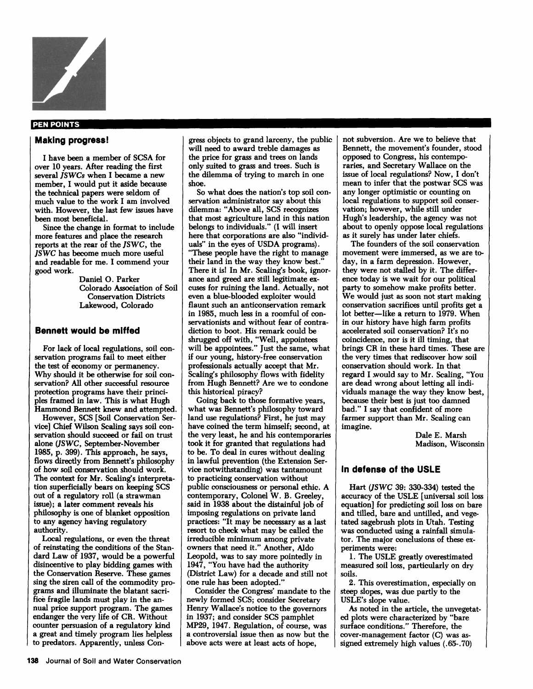

#### PEN POINTS

#### **Making progress!**

I have been a member of SCSA for over **10** years. After reading the first several *JSWCs* when I became a new member, I would put it aside because the technical papers were seldom of much value to the work I am involved with. However, the last few issues have been most beneficial.

Since the change in format to include more features and place the research reports at the rear of the JSWC, the JSWC has become much more useful and readable for me. I commend your good work.

> Daniel 0. Parker Colorado Association of Soil Conservation Districts Lakewood, Colorado

#### **Bennett would be miffed**

For lack of local regulations, soil conservation programs fail to meet either the test of economy or permanency. Why should it be otherwise for **soil** conservation? *All* other successful resource protection programs have their principles framed in law. This is what Hugh Hammond Bennett knew and attempted.

However, SCS **[Soil** Conservation Service] Chief Wilson Scaling says soil conservation should succeed or fail on trust alone (JS WC, September-November **1985,** p. **399). This** approach, he says, flows directly from Bennett's philosophy of how **soil** conservation should work. The context for Mr. Scaling's interpretation superficially bears on keeping SCS out of a regulatory roll (a strawman issue); a later comment reveals his philosophy is one of blanket opposition to any agency having regulatory authority.

Local regulations, or even the threat of reinstating the conditions of the Standard Law of **1937,** would be a powerful disincentive to play bidding games with the Conservation Reserve. These games sing the siren call of the commodity programs and illuminate the blatant sacrifice fragile lands must play in the annual price support program. The games endanger the very life of **CR.** Without counter persuasion of a regulatory kind a great and timely program lies helpless to predators. Apparently, unless Congress objects to grand larceny, the public will need to award treble damages **as**  the price for grass and trees on lands only suited to grass and trees. Such is the dilemma of trying to march in one shoe.

servation administrator say about this dilemma: "Above all, SCS recognizes that most agriculture land in this nation belongs to individuals." (I will insert here that corporations are also "individuals" in the eyes of USDA programs). *'These* people have the right to manage their land in the way they know best.'' There it is! In Mr. Scaling's book, ignorance and *greed* are still legitimate excuses for ruining the land. Actually, not even a blue-blooded exploiter would flaunt such an anticonservation remark in **1985,** much less in a roomful of conservationists and without fear of contradiction to boot. His remark could be shrugged off with, "Well, appointees will be appointees.'' Just the same, what if our young, history-free conservation professionals actually accept that Mr. Scaling's philosophy flows with fidelity from Hugh Bennett? Are we to condone this historical piracy? So what does the nation's top soil con-

Going back to those formative years, what was Bennett's philosophy toward land **use** regulations? First, he just may have coined the term himself; second, at the very least, he and his contemporaries took it for granted that regulations had to be. **To** deal in cures without dealing in lawful prevention (the Extension Service notwithstanding) was tantamount to practicing conservation without public consciousness or personal ethic. A contemporary, Colonel W. B. Greeley, said in **1938** about the distainful job of imposing regulations on private land practices: "It may be necessary **as** a last resort to check what may be called the irreducible minimum among private owners that need it.'' Another, Aldo Leopold, was to say more pointedly in **1947, "You** have had the authority (District Law) for a decade and still not one rule has been adopted."

Consider the Congress' mandate to the newly formed SCS; consider Secretary Henry Wallace's notice to the governors in **1937;** and consider SCS pamphlet **MP29, 1947.** Regulation, of course, was a controversial issue then **as** now but the above acts were at least acts of hope,

not subversion. Are we to believe that Bennett, the movement's founder, stood opposed to Congress, his contemporaries, and Secretary Wallace on the issue of local regulations? Now, I don't mean to infer that the postwar SCS was any longer optimistic or counting on local regulations to support soil conservation; however, while still under Hugh's leadership, the agency was not about to openly oppose local regulations **as** it surely has under later chiefs.

The founders of the soil conservation movement were immersed, **as** we are today, in a farm depression. However, they were not stalled by it. The difference today is we wait for our political party to somehow make profits better. We would just **as** soon not start making conservation sacrifices until profits get a lot better-like a return to **1979.** When in our history have high farm profits accelerated soil conservation? It's no coincidence, nor is it ill timing, that brings CR in these hard times. These are the very times that rediscover how soil conservation should work. In that regard I would say to Mr. Scaling, "You are dead wrong about letting all individuals manage the way they know best, because their best is just too damned bad." I say that confident of more farmer support than Mr. Scaling can imagine.

> Dale E. Marsh Madison, Wisconsin

#### **In defense of the USLE**

Hart (JSWC **39: 330-334)** tested the accuracy of the USLE [universal soil loss equation] for predicting soil loss on bare and tilled, bare and untilled, and vegetated sagebrush plots in Utah. Testing was conducted using a rainfall simulator. The major conclusions of these experiments were:

**1.** The USLE greatly overestimated measured soil loss, particularly on dry soils.

**2.** This overestimation, especially on steep slopes, was due partly to the USLE's slope value.

*ed* plots were characterized by "bare surface conditions." Therefore, the cover-management factor (C) **was as**signed extremely high values (. **65-.** 70) *As* noted in the article, the unvegetat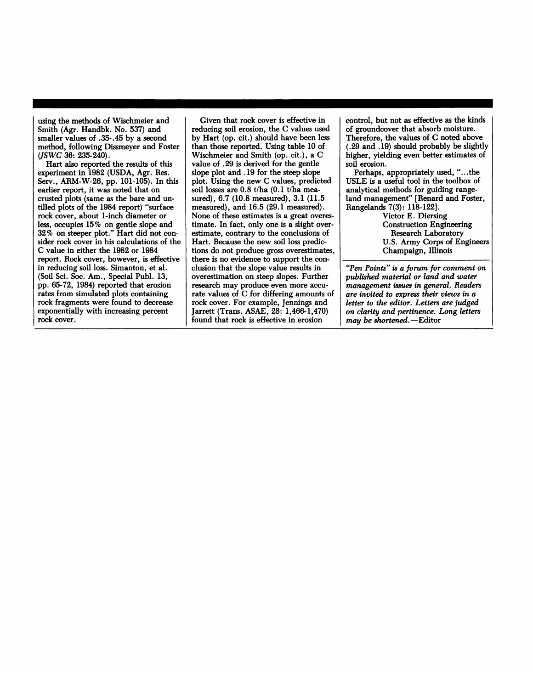using the methods of Wischmeier and Smith (Agr. Handbk. No. 537) and smaller values of .35-.45 by a second method, following Dissmeyer and Foster (JSWC 36: 235-240).  $\left( \frac{\text{JSWC}}{36} \right)$  36: 235-240).

Hart also reported the results of this Serv., ARM-W-26, pp. 101-105). In this earlier report, it was noted that on crusted plots (same as the bare and untilled plots of the 1984 report) "surface rock cover, about 1-inch diameter or less, occupies 15% on gentle slope and 32% on steeper plot." Hart did not consider rock cover in his calculations of the C value in either the 1982 or 1984 report. Rock cover, however, is effective in reducing soil loss. Simanton, et al. (Soil Sci. Soc. Am., Special Publ. 13, pp. 65-72, 1984) reported that erosion  $r$  ates from simulated plots containing rock fragments were found to decrease exponentially with increasing percent rock cover. *experiment in* 1982 (USDA, Agr. Res.

exponentially with increasing percent

Given that rock cover is effective in reducing soil erosion, the C values used by Hart (op. cit.) should have been less than those reported. Using table 10 of Wischmeier and Smith (op. cit.), a C value of .29 is derived for the gentle slope plot and .19 for the steep slope plot. Using the new C values, predicted soil losses are 0.8 t/ha (0.1 t/ha measured), 6.7 (10.8 measured), 3.1 (11.5) measured), and 16.5 (29.1 measured). None of these estimates is a great overestimate. In fact, only one is a slight overestimate, contrary to the conclusions of Hart. Because the new soil loss predictions do not produce gross overestimates, there is no evidence to support the conclusion that the slope value results in overestimation on steep slopes. Further research may produce even more accurate values of C for differing amounts of rock cover. For example, Jennings and Jarrett (Trans. ASAE,  $28:1,466-1,470$ ) found that rock is effective in erosion Jarrett (Trans. ASAE, **28: 1,466-1,470)** 

control. but not as effective as the kinds of groundcover that absorb moisture. Therefore, the values of C noted above  $(0.29$  and  $(0.19)$  should probably be slightly higher, yielding even better estimates of soil erosion. **(.29** and **.19)** should probably be slightly

Perhaps, appropriately used, "...the USLE is a useful tool in the toolbox of analytical methods for guiding rangeland management" [Renard and Foster, Rangelands  $7(3)$ : 118-122].

> Victor E. Diersing **Construction Engineering** Research Laboratory U.S. Army Corps of Engineers Champaign. Illinois

U.S. Army Corps of Engineers s" is a forum for con *management issues in general. Readers are invited to express their views in a letter to the editor. Letters are judged*  $on$  *clarity and pertinence. Long letters may be shortened.* - Editor

*on clarity and pertinence. Long letters*